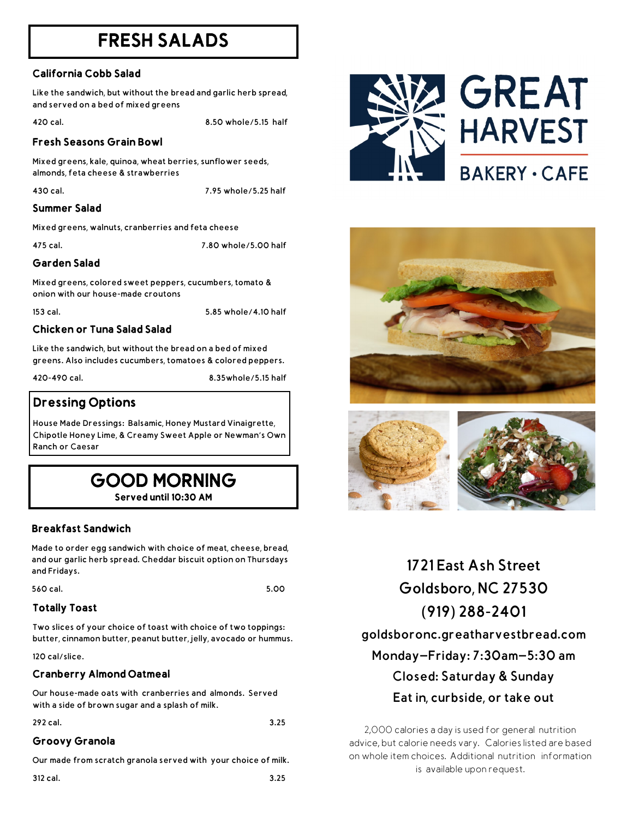# FRESH SALADS

# California Cobb Salad

Like the sandwich, but without the bread and garlic herb spread, and served on a bed of mixed greens

420 cal. 8.50 whole/5.15 half

#### Fresh Seasons Grain Bowl

Mixed greens, kale, quinoa, wheat berries, sunflower seeds, almonds, feta cheese & strawberries

430 cal. 7.95 whole/5.25 half

#### Summer Salad

Mixed greens, walnuts, cranberries and feta cheese

475 cal. 7.80 whole/5.00 half

# Garden Salad

Mixed greens, colored sweet peppers, cucumbers, tomato & onion with our house-made croutons

153 cal. 5.85 whole/4.10 half

# Chicken or Tuna Salad Salad

Like the sandwich, but without the bread on a bed of mixed greens. Also includes cucumbers, tomatoes & colored peppers.

420-490 cal. 8.35whole/5.15 half

# Dressing Options

House Made Dressings: Balsamic, Honey Mustard Vinaigrette, Chipotle Honey Lime, & Creamy Sweet Apple or Newman's Own Ranch or Caesar

| <b>GOOD MORNING</b>   |  |
|-----------------------|--|
| Served until 10:30 AM |  |

# Breakfast Sandwich

Made to order egg sandwich with choice of meat, cheese, bread, and our garlic herb spread. Cheddar biscuit option on Thursdays and Fridays.

560 cal. 5.00

# Totally Toast

Two slices of your choice of toast with choice of two toppings: butter, cinnamon butter, peanut butter, jelly, avocado or hummus.

120 cal/slice.

#### Cranberry Almond Oatmeal

Our house-made oats with cranberries and almonds. Served with a side of brown sugar and a splash of milk.

#### 292 cal. 3.25

#### Groovy Granola

Our made from scratch granola served with your choice of milk.

312 cal. 3.25



# **GREAT HARVEST BAKERY · CAFE**





**1721 East Ash Street Goldsboro, NC 27530 (919) 288-2401 goldsboronc.greatharvestbread.com Monday—Friday: 7:30am—5:30 am Closed: Saturday & Sunday Eat in, curbside, or take out**

2,000 calories a day is used for general nutrition advice, but calorie needs vary. Calories listed are based on whole item choices. Additional nutrition information is available upon request.